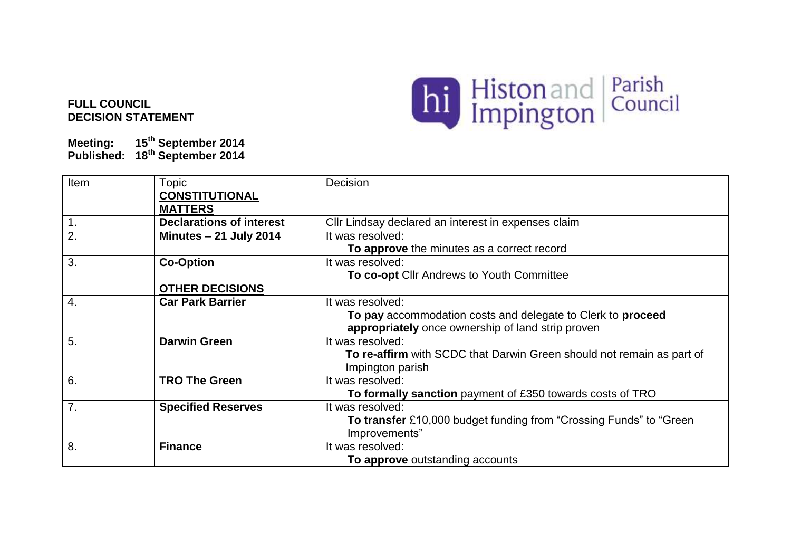## **FULL COUNCIL DECISION STATEMENT**



**Meeting: 15th September 2014 Published: 18th September 2014**

| Item           | Topic                           | Decision                                                              |
|----------------|---------------------------------|-----------------------------------------------------------------------|
|                | <b>CONSTITUTIONAL</b>           |                                                                       |
|                | <b>MATTERS</b>                  |                                                                       |
| 1.             | <b>Declarations of interest</b> | Cllr Lindsay declared an interest in expenses claim                   |
| 2.             | <b>Minutes - 21 July 2014</b>   | It was resolved:                                                      |
|                |                                 | To approve the minutes as a correct record                            |
| 3.             | <b>Co-Option</b>                | It was resolved:                                                      |
|                |                                 | To co-opt Cllr Andrews to Youth Committee                             |
|                | <b>OTHER DECISIONS</b>          |                                                                       |
| 4.             | <b>Car Park Barrier</b>         | It was resolved:                                                      |
|                |                                 | To pay accommodation costs and delegate to Clerk to proceed           |
|                |                                 | appropriately once ownership of land strip proven                     |
| 5.             | <b>Darwin Green</b>             | It was resolved:                                                      |
|                |                                 | To re-affirm with SCDC that Darwin Green should not remain as part of |
|                |                                 | Impington parish                                                      |
| 6.             | <b>TRO The Green</b>            | It was resolved:                                                      |
|                |                                 | To formally sanction payment of £350 towards costs of TRO             |
| 7 <sub>1</sub> | <b>Specified Reserves</b>       | It was resolved:                                                      |
|                |                                 | To transfer £10,000 budget funding from "Crossing Funds" to "Green    |
|                |                                 | Improvements"                                                         |
| 8.             | <b>Finance</b>                  | It was resolved:                                                      |
|                |                                 | To approve outstanding accounts                                       |